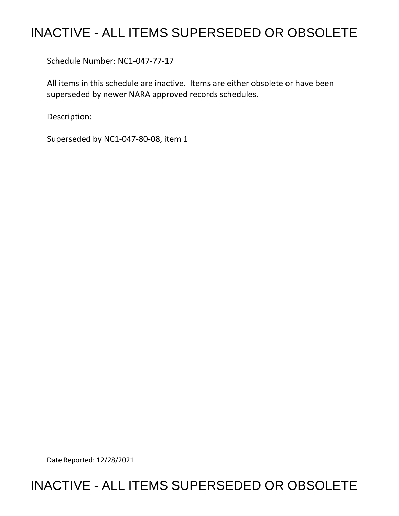## INACTIVE - ALL ITEMS SUPERSEDED OR OBSOLETE

Schedule Number: NC1-047-77-17

 All items in this schedule are inactive. Items are either obsolete or have been superseded by newer NARA approved records schedules.

Description:

Superseded by NC1-047-80-08, item 1

Date Reported: 12/28/2021

## INACTIVE - ALL ITEMS SUPERSEDED OR OBSOLETE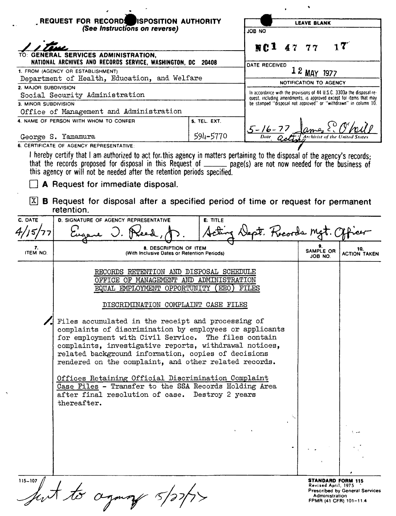| REQUEST FOR RECORDS ISPOSITION AUTHORITY<br>(See Instructions on reverse)         |                                                                                                                                                                                                                                                                                                                                                                                                                                                                                                                                                                                                                                                                                                                 |                     | <b>LEAVE BLANK</b>     |                                                                                                                                       |                      |                                                            |  |
|-----------------------------------------------------------------------------------|-----------------------------------------------------------------------------------------------------------------------------------------------------------------------------------------------------------------------------------------------------------------------------------------------------------------------------------------------------------------------------------------------------------------------------------------------------------------------------------------------------------------------------------------------------------------------------------------------------------------------------------------------------------------------------------------------------------------|---------------------|------------------------|---------------------------------------------------------------------------------------------------------------------------------------|----------------------|------------------------------------------------------------|--|
|                                                                                   |                                                                                                                                                                                                                                                                                                                                                                                                                                                                                                                                                                                                                                                                                                                 |                     |                        |                                                                                                                                       |                      |                                                            |  |
|                                                                                   |                                                                                                                                                                                                                                                                                                                                                                                                                                                                                                                                                                                                                                                                                                                 |                     | $MC1$ 47 77            |                                                                                                                                       |                      | 17                                                         |  |
|                                                                                   | GENERAL SERVICES ADMINISTRATION,                                                                                                                                                                                                                                                                                                                                                                                                                                                                                                                                                                                                                                                                                |                     |                        |                                                                                                                                       |                      |                                                            |  |
|                                                                                   | NATIONAL ARCHIVES AND RECORDS SERVICE, WASHINGTON, DC                                                                                                                                                                                                                                                                                                                                                                                                                                                                                                                                                                                                                                                           | 20408               | DATE RECEIVED          |                                                                                                                                       |                      |                                                            |  |
| 1. FROM (AGENCY OR ESTABLISHMENT)<br>Department of Health, Education, and Welfare |                                                                                                                                                                                                                                                                                                                                                                                                                                                                                                                                                                                                                                                                                                                 |                     |                        |                                                                                                                                       |                      |                                                            |  |
| 2. MAJOR SUBDIVISION                                                              |                                                                                                                                                                                                                                                                                                                                                                                                                                                                                                                                                                                                                                                                                                                 |                     |                        | NOTIFICATION TO AGENCY<br>In accordance with the provisions of 44 U.S.C. 3303a the disposal re-                                       |                      |                                                            |  |
| Social Security Administration<br>3. MINOR SUBDIVISION                            |                                                                                                                                                                                                                                                                                                                                                                                                                                                                                                                                                                                                                                                                                                                 |                     |                        | quest, including amendments, is approved except for items that may<br>be stamped "disposal not approved" or "withdrawn" in column 10. |                      |                                                            |  |
|                                                                                   | Office of Management and Administration                                                                                                                                                                                                                                                                                                                                                                                                                                                                                                                                                                                                                                                                         |                     |                        |                                                                                                                                       |                      |                                                            |  |
|                                                                                   | 4. NAME OF PERSON WITH WHOM TO CONFER                                                                                                                                                                                                                                                                                                                                                                                                                                                                                                                                                                                                                                                                           | <b>5. TEL. EXT.</b> |                        |                                                                                                                                       |                      |                                                            |  |
|                                                                                   |                                                                                                                                                                                                                                                                                                                                                                                                                                                                                                                                                                                                                                                                                                                 |                     | $\frac{5-16-77}{Date}$ |                                                                                                                                       |                      |                                                            |  |
|                                                                                   | George S. Yamamura<br>6. CERTIFICATE OF AGENCY REPRESENTATIVE:                                                                                                                                                                                                                                                                                                                                                                                                                                                                                                                                                                                                                                                  | 594-5770            |                        |                                                                                                                                       |                      |                                                            |  |
| X                                                                                 | I hereby certify that I am authorized to act for this agency in matters pertaining to the disposal of the agency's records;<br>that the records proposed for disposal in this Request of ______ page(s) are not now needed for the business of<br>this agency or will not be needed after the retention periods specified.<br>A Request for immediate disposal.<br><b>B</b> Request for disposal after a specified period of time or request for permanent<br>retention.                                                                                                                                                                                                                                        |                     |                        |                                                                                                                                       |                      |                                                            |  |
| C. DATE                                                                           | <b>D. SIGNATURE OF AGENCY REPRESENTATIVE</b>                                                                                                                                                                                                                                                                                                                                                                                                                                                                                                                                                                                                                                                                    | <b>E: TITLE</b>     |                        |                                                                                                                                       |                      |                                                            |  |
|                                                                                   |                                                                                                                                                                                                                                                                                                                                                                                                                                                                                                                                                                                                                                                                                                                 |                     | st. Records Mg         |                                                                                                                                       |                      |                                                            |  |
| 7.<br>ITEM NO.                                                                    | 8. DESCRIPTION OF ITEM<br>(With Inclusive Dates or Retention Periods)                                                                                                                                                                                                                                                                                                                                                                                                                                                                                                                                                                                                                                           |                     |                        |                                                                                                                                       | SAMPLE OR<br>JOB NO. | 10.<br><b>ACTION TAKEN</b>                                 |  |
|                                                                                   | RECORDS RETENTION AND DISPOSAL SCHEDULE<br>OFFICE OF MANAGEMENT AND ADMINISTRATION<br>EQUAL EMPLOYMENT OPPORTUNITY<br>EEO)<br>FILES<br>DISCRIMINATION COMPLAINT CASE FILES<br>Files accumulated in the receipt and processing of<br>complaints of discrimination by employees or applicants<br>for employment with Civil Service. The files contain<br>complaints, investigative reports, withdrawal notices,<br>related background information, copies of decisions<br>rendered on the complaint, and other related records.<br>Offices Retaining Official Discrimination Complaint<br>Case Files - Transfer to the SSA Records Holding Area<br>after final resolution of case. Destroy 2 years<br>thereafter. |                     |                        |                                                                                                                                       |                      |                                                            |  |
| $115 - 107$ /                                                                     |                                                                                                                                                                                                                                                                                                                                                                                                                                                                                                                                                                                                                                                                                                                 |                     |                        |                                                                                                                                       | Revised April, 1975  | STANDARD FORM 115<br><b>Prescribed by General Services</b> |  |

Prescribed by General Services Administration FPMR (41 CFR) 101-114

Just to againg 5/22/77

 $\langle \sigma \rangle$